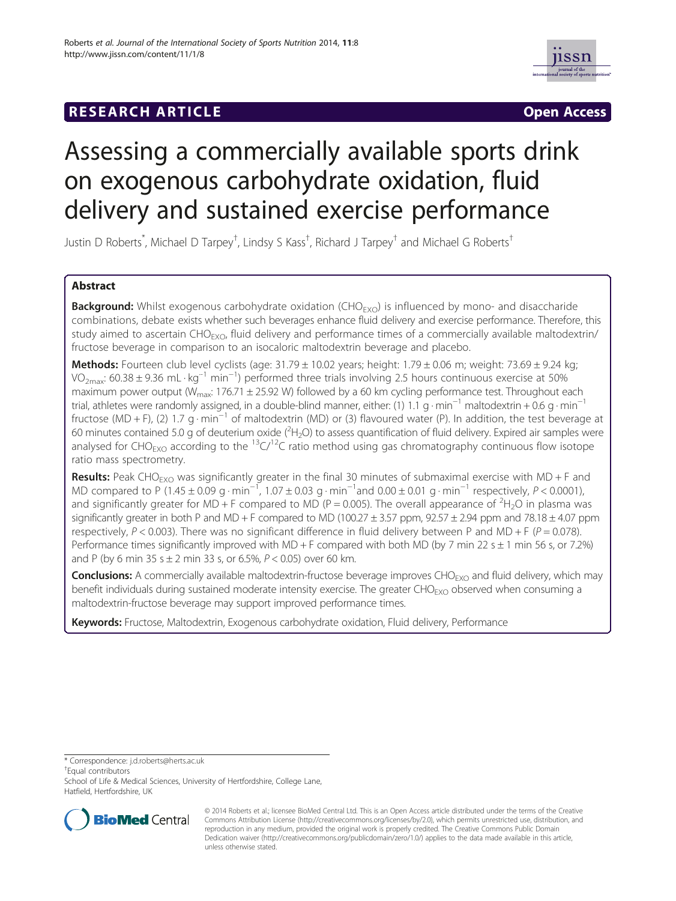# **RESEARCH ARTICLE Example 2014 CONSIDERING CONSIDERING CONSIDERING CONSIDERING CONSIDERING CONSIDERING CONSIDERING CONSIDERING CONSIDERING CONSIDERING CONSIDERING CONSIDERING CONSIDERING CONSIDERING CONSIDERING CONSIDE**



# Assessing a commercially available sports drink on exogenous carbohydrate oxidation, fluid delivery and sustained exercise performance

Justin D Roberts<sup>\*</sup>, Michael D Tarpey<sup>†</sup>, Lindsy S Kass<sup>†</sup>, Richard J Tarpey<sup>†</sup> and Michael G Roberts<sup>†</sup>

# Abstract

Background: Whilst exogenous carbohydrate oxidation (CHO<sub>EXO</sub>) is influenced by mono- and disaccharide combinations, debate exists whether such beverages enhance fluid delivery and exercise performance. Therefore, this study aimed to ascertain CHO<sub>EXO</sub>, fluid delivery and performance times of a commercially available maltodextrin/ fructose beverage in comparison to an isocaloric maltodextrin beverage and placebo.

Methods: Fourteen club level cyclists (age:  $31.79 \pm 10.02$  years; height:  $1.79 \pm 0.06$  m; weight:  $73.69 \pm 9.24$  kg; VO<sub>2max</sub>: 60.38 ± 9.36 mL · kg<sup>-1</sup> min<sup>-1</sup>) performed three trials involving 2.5 hours continuous exercise at 50% maximum power output ( $W_{\text{max}}$ : 176.71 ± 25.92 W) followed by a 60 km cycling performance test. Throughout each trial, athletes were randomly assigned, in a double-blind manner, either: (1) 1.1 g · min<sup>-1</sup> maltodextrin + 0.6 g · min<sup>-1</sup> fructose (MD + F), (2) 1.7 g · min<sup>-1</sup> of maltodextrin (MD) or (3) flavoured water (P). In addition, the test beverage at 60 minutes contained 5.0 g of deuterium oxide ( $2H_2O$ ) to assess quantification of fluid delivery. Expired air samples were analysed for CHO<sub>EXO</sub> according to the <sup>13</sup>C/<sup>12</sup>C ratio method using gas chromatography continuous flow isotope ratio mass spectrometry.

**Results:** Peak CHO<sub>EXO</sub> was significantly greater in the final 30 minutes of submaximal exercise with MD + F and MD compared to P (1.45 ± 0.09 g · min<sup>-1</sup>, 1.07 ± 0.03 g · min<sup>-1</sup> and 0.00 ± 0.01 g · min<sup>-1</sup> respectively, P < 0.0001), and significantly greater for MD + F compared to MD (P = 0.005). The overall appearance of <sup>2</sup>H<sub>2</sub>O in plasma was significantly greater in both P and MD + F compared to MD (100.27  $\pm$  3.57 ppm, 92.57  $\pm$  2.94 ppm and 78.18  $\pm$  4.07 ppm respectively,  $P < 0.003$ ). There was no significant difference in fluid delivery between P and MD + F ( $P = 0.078$ ). Performance times significantly improved with MD + F compared with both MD (by 7 min 22 s  $\pm$  1 min 56 s, or 7.2%) and P (by 6 min 35 s  $\pm$  2 min 33 s, or 6.5%, P < 0.05) over 60 km.

Conclusions: A commercially available maltodextrin-fructose beverage improves CHO<sub>EXO</sub> and fluid delivery, which may benefit individuals during sustained moderate intensity exercise. The greater CHO<sub>EXO</sub> observed when consuming a maltodextrin-fructose beverage may support improved performance times.

Keywords: Fructose, Maltodextrin, Exogenous carbohydrate oxidation, Fluid delivery, Performance

\* Correspondence: [j.d.roberts@herts.ac.uk](mailto:j.d.roberts@herts.ac.uk) †

Equal contributors

School of Life & Medical Sciences, University of Hertfordshire, College Lane, Hatfield, Hertfordshire, UK



<sup>© 2014</sup> Roberts et al.; licensee BioMed Central Ltd. This is an Open Access article distributed under the terms of the Creative Commons Attribution License [\(http://creativecommons.org/licenses/by/2.0\)](http://creativecommons.org/licenses/by/2.0), which permits unrestricted use, distribution, and reproduction in any medium, provided the original work is properly credited. The Creative Commons Public Domain Dedication waiver [\(http://creativecommons.org/publicdomain/zero/1.0/](http://creativecommons.org/publicdomain/zero/1.0/)) applies to the data made available in this article, unless otherwise stated.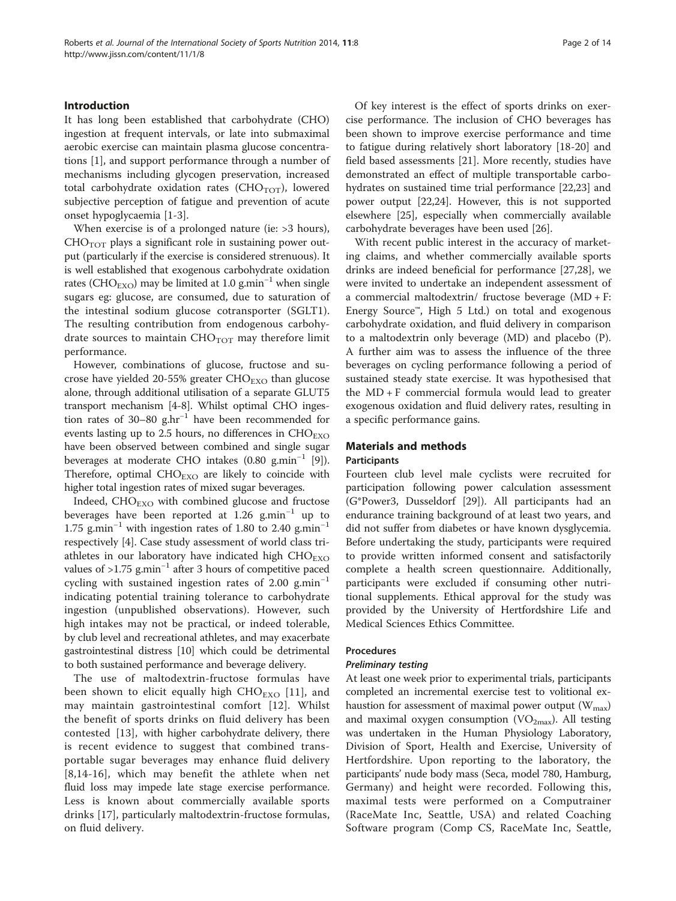### Introduction

It has long been established that carbohydrate (CHO) ingestion at frequent intervals, or late into submaximal aerobic exercise can maintain plasma glucose concentrations [\[1\]](#page-12-0), and support performance through a number of mechanisms including glycogen preservation, increased total carbohydrate oxidation rates ( $CHO<sub>TOT</sub>$ ), lowered subjective perception of fatigue and prevention of acute onset hypoglycaemia [[1-3](#page-12-0)].

When exercise is of a prolonged nature (ie: >3 hours),  $CHO<sub>TOT</sub>$  plays a significant role in sustaining power output (particularly if the exercise is considered strenuous). It is well established that exogenous carbohydrate oxidation rates (CHO<sub>EXO</sub>) may be limited at 1.0 g.min<sup>-1</sup> when single sugars eg: glucose, are consumed, due to saturation of the intestinal sodium glucose cotransporter (SGLT1). The resulting contribution from endogenous carbohydrate sources to maintain  $CHO_{TOT}$  may therefore limit performance.

However, combinations of glucose, fructose and sucrose have yielded 20-55% greater  $CHO_{EXO}$  than glucose alone, through additional utilisation of a separate GLUT5 transport mechanism [\[4](#page-12-0)-[8\]](#page-12-0). Whilst optimal CHO ingestion rates of 30–80 g.hr<sup>-1</sup> have been recommended for events lasting up to 2.5 hours, no differences in  $CHO_{EXO}$ have been observed between combined and single sugar beverages at moderate CHO intakes (0.80 g.min−<sup>1</sup> [\[9](#page-12-0)]). Therefore, optimal  $CHO_{EXO}$  are likely to coincide with higher total ingestion rates of mixed sugar beverages.

Indeed,  $CHO_{EXO}$  with combined glucose and fructose beverages have been reported at 1.26 g.min<sup>-1</sup> up to 1.75 g.min<sup>-1</sup> with ingestion rates of 1.80 to 2.40 g.min<sup>-1</sup> respectively [\[4](#page-12-0)]. Case study assessment of world class triathletes in our laboratory have indicated high  $CHO_{EXO}$ values of >1.75 g.min−<sup>1</sup> after 3 hours of competitive paced cycling with sustained ingestion rates of 2.00 g.min<sup>-1</sup> indicating potential training tolerance to carbohydrate ingestion (unpublished observations). However, such high intakes may not be practical, or indeed tolerable, by club level and recreational athletes, and may exacerbate gastrointestinal distress [\[10\]](#page-12-0) which could be detrimental to both sustained performance and beverage delivery.

The use of maltodextrin-fructose formulas have been shown to elicit equally high  $CHO_{EXO}$  [[11](#page-12-0)], and may maintain gastrointestinal comfort [[12](#page-12-0)]. Whilst the benefit of sports drinks on fluid delivery has been contested [[13\]](#page-12-0), with higher carbohydrate delivery, there is recent evidence to suggest that combined transportable sugar beverages may enhance fluid delivery [[8,14-16\]](#page-12-0), which may benefit the athlete when net fluid loss may impede late stage exercise performance. Less is known about commercially available sports drinks [[17](#page-12-0)], particularly maltodextrin-fructose formulas, on fluid delivery.

Of key interest is the effect of sports drinks on exercise performance. The inclusion of CHO beverages has been shown to improve exercise performance and time to fatigue during relatively short laboratory [\[18](#page-12-0)-[20](#page-12-0)] and field based assessments [\[21\]](#page-12-0). More recently, studies have demonstrated an effect of multiple transportable carbohydrates on sustained time trial performance [[22](#page-12-0),[23](#page-12-0)] and power output [[22,24\]](#page-12-0). However, this is not supported elsewhere [[25\]](#page-13-0), especially when commercially available carbohydrate beverages have been used [[26\]](#page-13-0).

With recent public interest in the accuracy of marketing claims, and whether commercially available sports drinks are indeed beneficial for performance [[27](#page-13-0),[28](#page-13-0)], we were invited to undertake an independent assessment of a commercial maltodextrin/ fructose beverage (MD + F: Energy Source™, High 5 Ltd.) on total and exogenous carbohydrate oxidation, and fluid delivery in comparison to a maltodextrin only beverage (MD) and placebo (P). A further aim was to assess the influence of the three beverages on cycling performance following a period of sustained steady state exercise. It was hypothesised that the  $MD + F$  commercial formula would lead to greater exogenous oxidation and fluid delivery rates, resulting in a specific performance gains.

## Materials and methods

#### Participants

Fourteen club level male cyclists were recruited for participation following power calculation assessment (G\*Power3, Dusseldorf [[29\]](#page-13-0)). All participants had an endurance training background of at least two years, and did not suffer from diabetes or have known dysglycemia. Before undertaking the study, participants were required to provide written informed consent and satisfactorily complete a health screen questionnaire. Additionally, participants were excluded if consuming other nutritional supplements. Ethical approval for the study was provided by the University of Hertfordshire Life and Medical Sciences Ethics Committee.

#### Procedures

#### Preliminary testing

At least one week prior to experimental trials, participants completed an incremental exercise test to volitional exhaustion for assessment of maximal power output  $(W_{\text{max}})$ and maximal oxygen consumption  $(\rm VO_{2max})$ . All testing was undertaken in the Human Physiology Laboratory, Division of Sport, Health and Exercise, University of Hertfordshire. Upon reporting to the laboratory, the participants' nude body mass (Seca, model 780, Hamburg, Germany) and height were recorded. Following this, maximal tests were performed on a Computrainer (RaceMate Inc, Seattle, USA) and related Coaching Software program (Comp CS, RaceMate Inc, Seattle,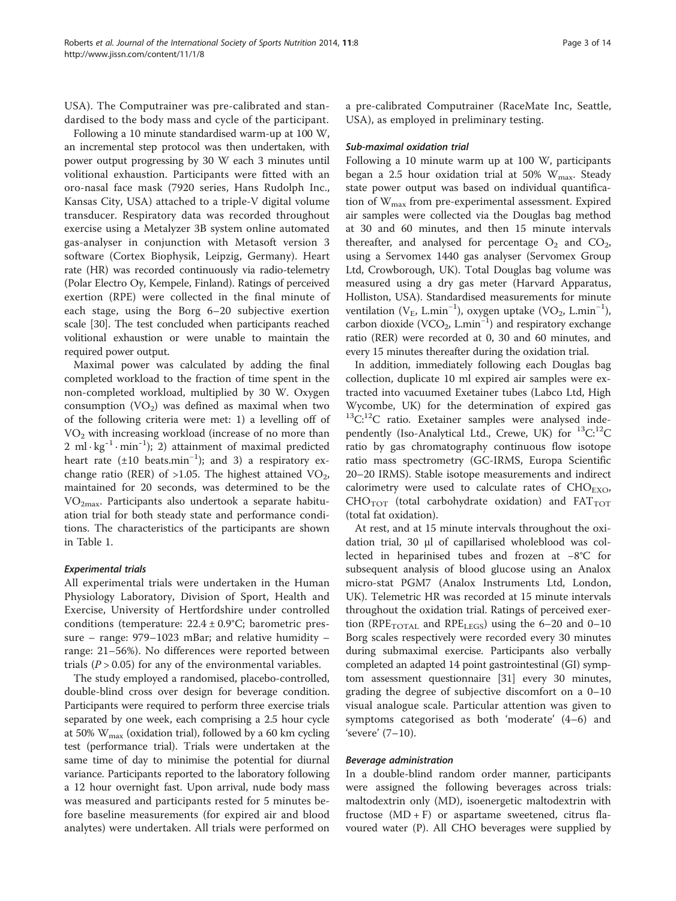USA). The Computrainer was pre-calibrated and standardised to the body mass and cycle of the participant.

Following a 10 minute standardised warm-up at 100 W, an incremental step protocol was then undertaken, with power output progressing by 30 W each 3 minutes until volitional exhaustion. Participants were fitted with an oro-nasal face mask (7920 series, Hans Rudolph Inc., Kansas City, USA) attached to a triple-V digital volume transducer. Respiratory data was recorded throughout exercise using a Metalyzer 3B system online automated gas-analyser in conjunction with Metasoft version 3 software (Cortex Biophysik, Leipzig, Germany). Heart rate (HR) was recorded continuously via radio-telemetry (Polar Electro Oy, Kempele, Finland). Ratings of perceived exertion (RPE) were collected in the final minute of each stage, using the Borg 6–20 subjective exertion scale [[30](#page-13-0)]. The test concluded when participants reached volitional exhaustion or were unable to maintain the required power output.

Maximal power was calculated by adding the final completed workload to the fraction of time spent in the non-completed workload, multiplied by 30 W. Oxygen consumption  $(VO<sub>2</sub>)$  was defined as maximal when two of the following criteria were met: 1) a levelling off of VO2 with increasing workload (increase of no more than  $2 \text{ ml} \cdot \text{kg}^{-1} \cdot \text{min}^{-1}$ ); 2) attainment of maximal predicted heart rate (±10 beats.min<sup>-1</sup>); and 3) a respiratory exchange ratio (RER) of  $>1.05$ . The highest attained VO<sub>2</sub>, maintained for 20 seconds, was determined to be the VO2max. Participants also undertook a separate habituation trial for both steady state and performance conditions. The characteristics of the participants are shown in Table [1.](#page-3-0)

#### Experimental trials

All experimental trials were undertaken in the Human Physiology Laboratory, Division of Sport, Health and Exercise, University of Hertfordshire under controlled conditions (temperature: 22.4 ± 0.9°C; barometric pressure – range: 979–1023 mBar; and relative humidity – range: 21–56%). No differences were reported between trials ( $P > 0.05$ ) for any of the environmental variables.

The study employed a randomised, placebo-controlled, double-blind cross over design for beverage condition. Participants were required to perform three exercise trials separated by one week, each comprising a 2.5 hour cycle at 50%  $W_{\text{max}}$  (oxidation trial), followed by a 60 km cycling test (performance trial). Trials were undertaken at the same time of day to minimise the potential for diurnal variance. Participants reported to the laboratory following a 12 hour overnight fast. Upon arrival, nude body mass was measured and participants rested for 5 minutes before baseline measurements (for expired air and blood analytes) were undertaken. All trials were performed on

a pre-calibrated Computrainer (RaceMate Inc, Seattle, USA), as employed in preliminary testing.

#### Sub-maximal oxidation trial

Following a 10 minute warm up at 100 W, participants began a 2.5 hour oxidation trial at 50%  $W_{\text{max}}$ . Steady state power output was based on individual quantification of  $W_{\text{max}}$  from pre-experimental assessment. Expired air samples were collected via the Douglas bag method at 30 and 60 minutes, and then 15 minute intervals thereafter, and analysed for percentage  $O_2$  and  $CO_2$ , using a Servomex 1440 gas analyser (Servomex Group Ltd, Crowborough, UK). Total Douglas bag volume was measured using a dry gas meter (Harvard Apparatus, Holliston, USA). Standardised measurements for minute ventilation (V<sub>E</sub>, L.min<sup>-1</sup>), oxygen uptake (VO<sub>2</sub>, L.min<sup>-1</sup>), carbon dioxide (VCO<sub>2</sub>, L.min<sup>-1</sup>) and respiratory exchange ratio (RER) were recorded at 0, 30 and 60 minutes, and every 15 minutes thereafter during the oxidation trial.

In addition, immediately following each Douglas bag collection, duplicate 10 ml expired air samples were extracted into vacuumed Exetainer tubes (Labco Ltd, High Wycombe, UK) for the determination of expired gas  ${}^{13}$ C:<sup>12</sup>C ratio. Exetainer samples were analysed independently (Iso-Analytical Ltd., Crewe, UK) for  $^{13}$ C: $^{12}$ C ratio by gas chromatography continuous flow isotope ratio mass spectrometry (GC-IRMS, Europa Scientific 20–20 IRMS). Stable isotope measurements and indirect calorimetry were used to calculate rates of  $CHO_{EXO}$ ,  $CHO<sub>TOT</sub>$  (total carbohydrate oxidation) and  $FAT<sub>TOT</sub>$ (total fat oxidation).

At rest, and at 15 minute intervals throughout the oxidation trial, 30 μl of capillarised wholeblood was collected in heparinised tubes and frozen at −8°C for subsequent analysis of blood glucose using an Analox micro-stat PGM7 (Analox Instruments Ltd, London, UK). Telemetric HR was recorded at 15 minute intervals throughout the oxidation trial. Ratings of perceived exertion ( $RPE<sub>TOTAL</sub>$  and  $RPE<sub>LEGS</sub>$ ) using the 6–20 and 0–10 Borg scales respectively were recorded every 30 minutes during submaximal exercise. Participants also verbally completed an adapted 14 point gastrointestinal (GI) symptom assessment questionnaire [[31](#page-13-0)] every 30 minutes, grading the degree of subjective discomfort on a 0–10 visual analogue scale. Particular attention was given to symptoms categorised as both 'moderate' (4–6) and 'severe' (7–10).

#### Beverage administration

In a double-blind random order manner, participants were assigned the following beverages across trials: maltodextrin only (MD), isoenergetic maltodextrin with fructose  $(MD + F)$  or aspartame sweetened, citrus flavoured water (P). All CHO beverages were supplied by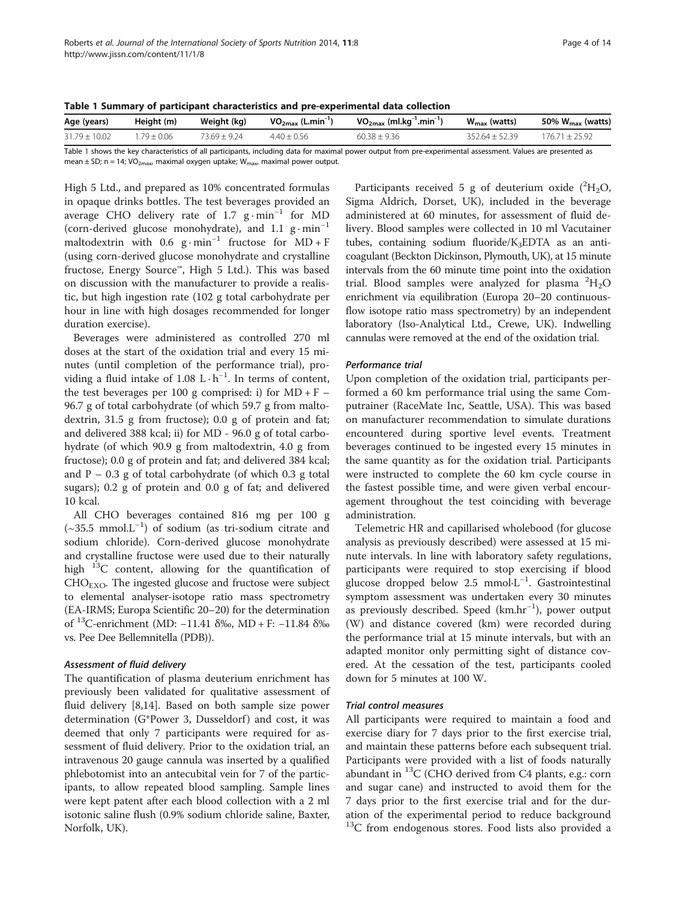<span id="page-3-0"></span>Table 1 Summary of participant characteristics and pre-experimental data collection

| Age (years)       | Height (m)      | Weight (kg)    | $VO2max$ (L.min <sup>-1</sup> ) | $VO_{2max}$ (ml.kg <sup>-1</sup> .min <sup>-1</sup> )                                                                                                                                                                          | $W_{\text{max}}$ (watts) | 50% $W_{\text{max}}$ (watts) |
|-------------------|-----------------|----------------|---------------------------------|--------------------------------------------------------------------------------------------------------------------------------------------------------------------------------------------------------------------------------|--------------------------|------------------------------|
| $31.79 \pm 10.02$ | $1.79 \pm 0.06$ | $73.69 + 9.24$ | $4.40 \pm 0.56$                 | $60.38 \pm 9.36$                                                                                                                                                                                                               | $352.64 \pm 52.39$       | $176.71 \pm 25.92$           |
|                   |                 |                |                                 | $\pm$ defined as the decomposition of all contributions to deduce the function of the contribution of the component of the component of the second contribution of the contribution of the contribution of the contribution of |                          |                              |

Table 1 shows the key characteristics of all participants, including data for maximal power output from pre-experimental assessment. Values are presented as mean  $\pm$  SD; n = 14; VO<sub>2max</sub>, maximal oxygen uptake; W<sub>max</sub>, maximal power output.

High 5 Ltd., and prepared as 10% concentrated formulas in opaque drinks bottles. The test beverages provided an average CHO delivery rate of 1.7 g · min−<sup>1</sup> for MD (corn-derived glucose monohydrate), and 1.1  $g \cdot min^{-1}$ maltodextrin with 0.6  $g \cdot min^{-1}$  fructose for MD + F (using corn-derived glucose monohydrate and crystalline fructose, Energy Source™, High 5 Ltd.). This was based on discussion with the manufacturer to provide a realistic, but high ingestion rate (102 g total carbohydrate per hour in line with high dosages recommended for longer duration exercise).

Beverages were administered as controlled 270 ml doses at the start of the oxidation trial and every 15 minutes (until completion of the performance trial), providing a fluid intake of 1.08 L $\cdot$  h<sup>-1</sup>. In terms of content, the test beverages per 100 g comprised: i) for  $MD + F$  – 96.7 g of total carbohydrate (of which 59.7 g from maltodextrin, 31.5 g from fructose); 0.0 g of protein and fat; and delivered 388 kcal; ii) for MD - 96.0 g of total carbohydrate (of which 90.9 g from maltodextrin, 4.0 g from fructose); 0.0 g of protein and fat; and delivered 384 kcal; and  $P - 0.3$  g of total carbohydrate (of which 0.3 g total sugars); 0.2 g of protein and 0.0 g of fat; and delivered 10 kcal.

All CHO beverages contained 816 mg per 100 g (~35.5 mmol.L−<sup>1</sup> ) of sodium (as tri-sodium citrate and sodium chloride). Corn-derived glucose monohydrate and crystalline fructose were used due to their naturally high <sup>13</sup>C content, allowing for the quantification of  $CHO_{EXO}$ . The ingested glucose and fructose were subject to elemental analyser-isotope ratio mass spectrometry (EA-IRMS; Europa Scientific 20–20) for the determination of 13C-enrichment (MD: −11.41 δ‰, MD + F: −11.84 δ‰ vs. Pee Dee Bellemnitella (PDB)).

#### Assessment of fluid delivery

The quantification of plasma deuterium enrichment has previously been validated for qualitative assessment of fluid delivery [\[8,14](#page-12-0)]. Based on both sample size power determination  $(G^*Power 3, Dusseldor f)$  and cost, it was deemed that only 7 participants were required for assessment of fluid delivery. Prior to the oxidation trial, an intravenous 20 gauge cannula was inserted by a qualified phlebotomist into an antecubital vein for 7 of the participants, to allow repeated blood sampling. Sample lines were kept patent after each blood collection with a 2 ml isotonic saline flush (0.9% sodium chloride saline, Baxter, Norfolk, UK).

Participants received 5 g of deuterium oxide  $(^{2}H_{2}O_{1})$ Sigma Aldrich, Dorset, UK), included in the beverage administered at 60 minutes, for assessment of fluid delivery. Blood samples were collected in 10 ml Vacutainer tubes, containing sodium fluoride/ $K_3EDTA$  as an anticoagulant (Beckton Dickinson, Plymouth, UK), at 15 minute intervals from the 60 minute time point into the oxidation trial. Blood samples were analyzed for plasma  ${}^{2}H_{2}O$ enrichment via equilibration (Europa 20–20 continuousflow isotope ratio mass spectrometry) by an independent laboratory (Iso-Analytical Ltd., Crewe, UK). Indwelling cannulas were removed at the end of the oxidation trial.

# Performance trial

Upon completion of the oxidation trial, participants performed a 60 km performance trial using the same Computrainer (RaceMate Inc, Seattle, USA). This was based on manufacturer recommendation to simulate durations encountered during sportive level events. Treatment beverages continued to be ingested every 15 minutes in the same quantity as for the oxidation trial. Participants were instructed to complete the 60 km cycle course in the fastest possible time, and were given verbal encouragement throughout the test coinciding with beverage administration.

Telemetric HR and capillarised wholebood (for glucose analysis as previously described) were assessed at 15 minute intervals. In line with laboratory safety regulations, participants were required to stop exercising if blood glucose dropped below 2.5 mmol·L−<sup>1</sup> . Gastrointestinal symptom assessment was undertaken every 30 minutes as previously described. Speed (km.hr−<sup>1</sup> ), power output (W) and distance covered (km) were recorded during the performance trial at 15 minute intervals, but with an adapted monitor only permitting sight of distance covered. At the cessation of the test, participants cooled down for 5 minutes at 100 W.

# Trial control measures

All participants were required to maintain a food and exercise diary for 7 days prior to the first exercise trial, and maintain these patterns before each subsequent trial. Participants were provided with a list of foods naturally abundant in  $^{13}$ C (CHO derived from C4 plants, e.g.: corn and sugar cane) and instructed to avoid them for the 7 days prior to the first exercise trial and for the duration of the experimental period to reduce background  $13C$  from endogenous stores. Food lists also provided a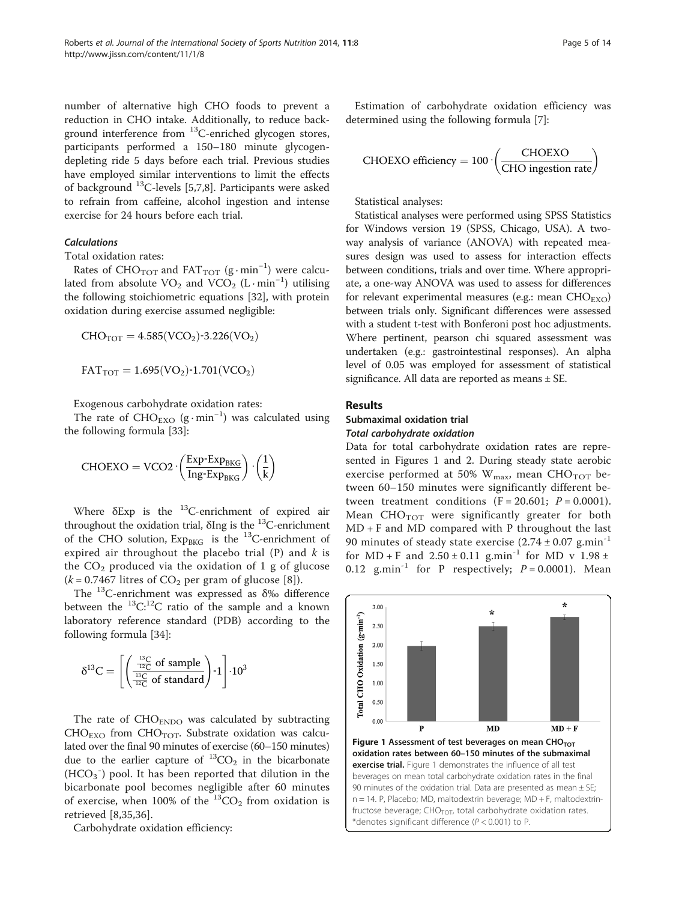number of alternative high CHO foods to prevent a reduction in CHO intake. Additionally, to reduce background interference from  $^{13}$ C-enriched glycogen stores, participants performed a 150–180 minute glycogendepleting ride 5 days before each trial. Previous studies have employed similar interventions to limit the effects of background  $^{13}$ C-levels [[5,7,8](#page-12-0)]. Participants were asked to refrain from caffeine, alcohol ingestion and intense exercise for 24 hours before each trial.

## **Calculations**

Total oxidation rates:

Rates of CHO<sub>TOT</sub> and FAT<sub>TOT</sub> (g · min<sup>-1</sup>) were calculated from absolute VO<sub>2</sub> and VCO<sub>2</sub> (L·min<sup>-1</sup>) utilising the following stoichiometric equations [\[32](#page-13-0)], with protein oxidation during exercise assumed negligible:

$$
CHO_{TOT} = 4.585(VCO_2)-3.226(VO_2)
$$

$$
FAT_{TOT} = 1.695(VO_2) - 1.701(VCO_2)
$$

Exogenous carbohydrate oxidation rates:

The rate of CHO<sub>EXO</sub> (g · min<sup>-1</sup>) was calculated using the following formula [[33](#page-13-0)]:

$$
\text{CHOEXO} = \text{VCO2} \cdot \left(\frac{\text{Exp-Exp}_{\text{BKG}}}{\text{Ing-Exp}_{\text{BKG}}}\right) \cdot \left(\frac{1}{k}\right)
$$

Where  $\delta$ Exp is the  $^{13}$ C-enrichment of expired air throughout the oxidation trial,  $\delta$ Ing is the <sup>13</sup>C-enrichment of the CHO solution,  $Exp_{BKG}$  is the  $^{13}C$ -enrichment of expired air throughout the placebo trial  $(P)$  and  $k$  is the  $CO<sub>2</sub>$  produced via the oxidation of 1 g of glucose  $(k = 0.7467$  litres of  $CO<sub>2</sub>$  per gram of glucose [[8](#page-12-0)]).

The  $^{13}$ C-enrichment was expressed as  $\delta\%$  difference between the  ${}^{13}C.{}^{12}C$  ratio of the sample and a known laboratory reference standard (PDB) according to the following formula [[34\]](#page-13-0):

$$
\delta^{13}C = \left[\left(\frac{\frac{^{13}C}{^{12}C} \text{ of sample}}{\frac{^{13}C}{^{12}C} \text{ of standard}}\right)\text{-}1\right]\cdot 10^3
$$

The rate of  $CHO_{ENDO}$  was calculated by subtracting  $CHO_{EXO}$  from  $CHO_{TOT}$ . Substrate oxidation was calculated over the final 90 minutes of exercise (60–150 minutes) due to the earlier capture of  ${}^{13}CO_2$  in the bicarbonate  $(HCO<sub>3</sub><sup>-</sup>)$  pool. It has been reported that dilution in the bicarbonate pool becomes negligible after 60 minutes of exercise, when 100% of the  ${}^{13} \mathrm{CO}_2$  from oxidation is retrieved [[8,](#page-12-0)[35,36](#page-13-0)].

Carbohydrate oxidation efficiency:

Estimation of carbohydrate oxidation efficiency was determined using the following formula [[7\]](#page-12-0):

$$
CHOEXO efficiency = 100 \cdot \left(\frac{CHOEXO}{CHO ingestion rate}\right)
$$

Statistical analyses:

Statistical analyses were performed using SPSS Statistics for Windows version 19 (SPSS, Chicago, USA). A twoway analysis of variance (ANOVA) with repeated measures design was used to assess for interaction effects between conditions, trials and over time. Where appropriate, a one-way ANOVA was used to assess for differences for relevant experimental measures (e.g.: mean  $CHO_{FYO}$ ) between trials only. Significant differences were assessed with a student t-test with Bonferoni post hoc adjustments. Where pertinent, pearson chi squared assessment was undertaken (e.g.: gastrointestinal responses). An alpha level of 0.05 was employed for assessment of statistical significance. All data are reported as means ± SE.

#### Results

#### Submaximal oxidation trial Total carbohydrate oxidation

Data for total carbohydrate oxidation rates are represented in Figures 1 and [2.](#page-5-0) During steady state aerobic exercise performed at 50%  $W_{max}$ , mean CHO<sub>TOT</sub> between 60–150 minutes were significantly different between treatment conditions  $(F = 20.601; P = 0.0001)$ . Mean  $CHO_{TOT}$  were significantly greater for both MD + F and MD compared with P throughout the last 90 minutes of steady state exercise  $(2.74 \pm 0.07 \text{ g.min}^{-1})$ for MD + F and  $2.50 \pm 0.11$  g.min<sup>-1</sup> for MD v  $1.98 \pm$ 0.12 g.min<sup>-1</sup> for P respectively;  $P = 0.0001$ ). Mean

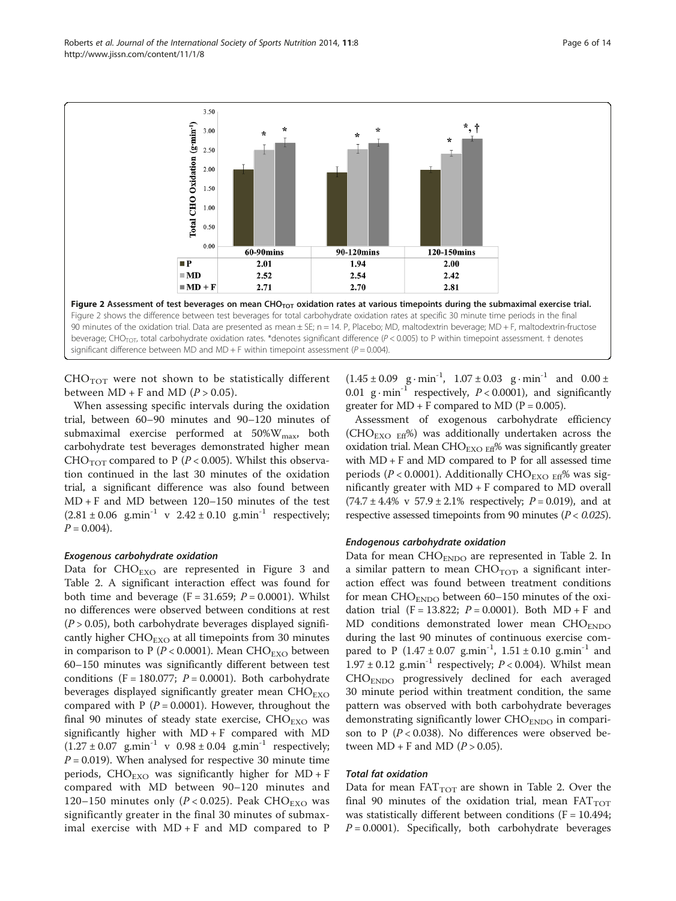$CHO<sub>TOT</sub>$  were not shown to be statistically different

between  $MD + F$  and  $MD (P > 0.05)$ . When assessing specific intervals during the oxidation trial, between 60–90 minutes and 90–120 minutes of submaximal exercise performed at  $50\%W_{\text{max}}$ , both carbohydrate test beverages demonstrated higher mean CHO<sub>TOT</sub> compared to P ( $P < 0.005$ ). Whilst this observation continued in the last 30 minutes of the oxidation trial, a significant difference was also found between MD + F and MD between 120–150 minutes of the test  $(2.81 \pm 0.06 \text{ g.min}^{-1} \text{ v } 2.42 \pm 0.10 \text{ g.min}^{-1} \text{ respectively};$  $P = 0.004$ .

#### Exogenous carbohydrate oxidation

Data for  $CHO_{EXO}$  are represented in Figure [3](#page-6-0) and Table [2](#page-6-0). A significant interaction effect was found for both time and beverage  $(F = 31.659; P = 0.0001)$ . Whilst no differences were observed between conditions at rest  $(P > 0.05)$ , both carbohydrate beverages displayed significantly higher  $CHO_{EXO}$  at all timepoints from 30 minutes in comparison to P ( $P < 0.0001$ ). Mean CHO<sub>EXO</sub> between 60–150 minutes was significantly different between test conditions (F = 180.077;  $P = 0.0001$ ). Both carbohydrate beverages displayed significantly greater mean  $CHO_{EXO}$ compared with  $P(P = 0.0001)$ . However, throughout the final 90 minutes of steady state exercise,  $CHO_{EXO}$  was significantly higher with  $MD + F$  compared with  $MD$  $(1.27 \pm 0.07 \text{ g.min}^{-1} \text{ v } 0.98 \pm 0.04 \text{ g.min}^{-1} \text{ respectively};$  $P = 0.019$ ). When analysed for respective 30 minute time periods,  $CHO_{EXO}$  was significantly higher for  $MD + F$ compared with MD between 90–120 minutes and 120–150 minutes only ( $P < 0.025$ ). Peak CHO<sub>EXO</sub> was significantly greater in the final 30 minutes of submaximal exercise with  $MD + F$  and  $MD$  compared to P  $(1.45 \pm 0.09 \text{ g} \cdot \text{min}^{-1}, 1.07 \pm 0.03 \text{ g} \cdot \text{min}^{-1} \text{ and } 0.00 \pm \text{m}^{-1}$ 0.01 g · min<sup>-1</sup> respectively,  $P < 0.0001$ ), and significantly greater for  $MD + F$  compared to  $MD (P = 0.005)$ .

Assessment of exogenous carbohydrate efficiency  $(CHO_{EXO Eff}$ %) was additionally undertaken across the oxidation trial. Mean  $CHO_{EXO Eff}$ % was significantly greater with  $MD + F$  and  $MD$  compared to  $P$  for all assessed time periods ( $P < 0.0001$ ). Additionally CHO<sub>EXO Eff</sub>% was significantly greater with MD + F compared to MD overall  $(74.7 \pm 4.4\% \text{ V } 57.9 \pm 2.1\% \text{ respectively}; P = 0.019)$ , and at respective assessed timepoints from 90 minutes ( $P < 0.025$ ).

#### Endogenous carbohydrate oxidation

Data for mean CHO<sub>ENDO</sub> are represented in Table [2](#page-6-0). In a similar pattern to mean  $CHO_{TOT}$  a significant interaction effect was found between treatment conditions for mean  $CHO_{ENDO}$  between 60–150 minutes of the oxidation trial (F = 13.822;  $P = 0.0001$ ). Both MD + F and  $MD$  conditions demonstrated lower mean  $CHO_{ENDO}$ during the last 90 minutes of continuous exercise compared to P  $(1.47 \pm 0.07 \text{ g.min}^{-1}, 1.51 \pm 0.10 \text{ g.min}^{-1}$  and 1.97  $\pm$  0.12 g.min<sup>-1</sup> respectively;  $P < 0.004$ ). Whilst mean CHOENDO progressively declined for each averaged 30 minute period within treatment condition, the same pattern was observed with both carbohydrate beverages demonstrating significantly lower  $CHO_{ENDO}$  in comparison to P ( $P < 0.038$ ). No differences were observed between  $MD + F$  and  $MD (P > 0.05)$ .

#### Total fat oxidation

Data for mean  $FAT_{TOT}$  are shown in Table [2](#page-6-0). Over the final 90 minutes of the oxidation trial, mean  $FAT_{TOT}$ was statistically different between conditions ( $F = 10.494$ ;  $P = 0.0001$ ). Specifically, both carbohydrate beverages

<span id="page-5-0"></span>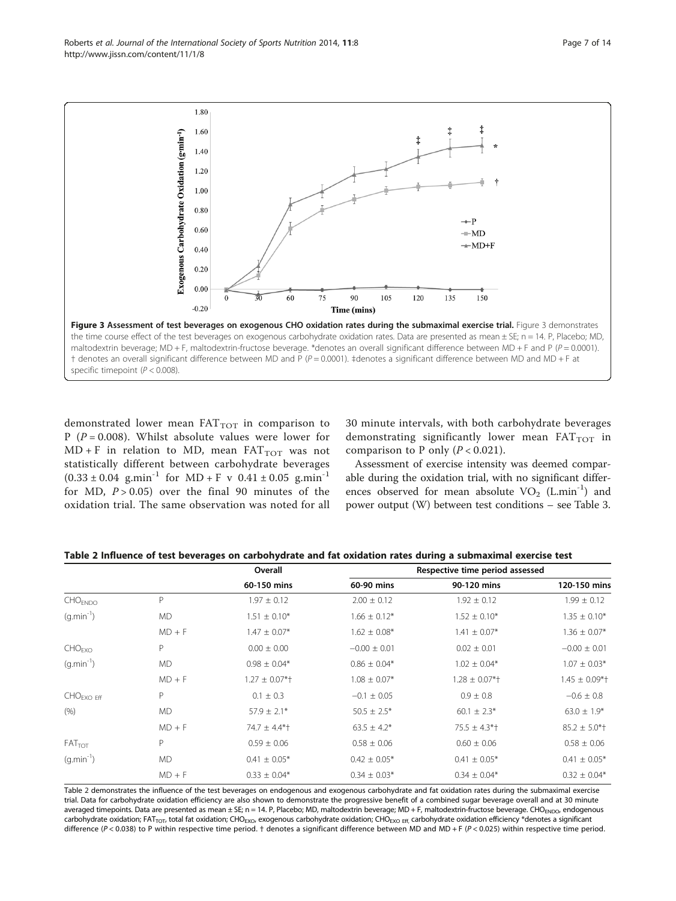demonstrated lower mean  $FAT_{TOT}$  in comparison to P ( $P = 0.008$ ). Whilst absolute values were lower for  $MD + F$  in relation to MD, mean  $FAT_{TOT}$  was not statistically different between carbohydrate beverages  $(0.33 \pm 0.04 \text{ g.min}^{-1} \text{ for MD + F v } 0.41 \pm 0.05 \text{ g.min}^{-1}$ for MD,  $P > 0.05$ ) over the final 90 minutes of the oxidation trial. The same observation was noted for all 30 minute intervals, with both carbohydrate beverages demonstrating significantly lower mean  $FAT<sub>TOT</sub>$  in comparison to P only  $(P < 0.021)$ .

Assessment of exercise intensity was deemed comparable during the oxidation trial, with no significant differences observed for mean absolute  $VO<sub>2</sub>$  (L.min<sup>-1</sup>) and power output (W) between test conditions – see Table [3.](#page-7-0)

| Table 2 Influence of test beverages on carbohydrate and fat oxidation rates during a submaximal exercise test |  |  |
|---------------------------------------------------------------------------------------------------------------|--|--|
|                                                                                                               |  |  |

|                     |           | Overall                        | Respective time period assessed |                    |                    |
|---------------------|-----------|--------------------------------|---------------------------------|--------------------|--------------------|
|                     |           | 60-150 mins                    | 60-90 mins                      | 90-120 mins        | 120-150 mins       |
| CHO <sub>FNDO</sub> | P         | $1.97 \pm 0.12$                | $2.00 \pm 0.12$                 | $1.92 \pm 0.12$    | $1.99 \pm 0.12$    |
| $(g.min^{-1})$      | <b>MD</b> | $1.51 \pm 0.10*$               | $1.66 \pm 0.12*$                | $1.52 \pm 0.10*$   | $1.35 \pm 0.10*$   |
|                     | $MD + F$  | $1.47 \pm 0.07*$               | $1.62 \pm 0.08*$                | $1.41 \pm 0.07*$   | $1.36 \pm 0.07*$   |
| $CHO_{FXO}$         | P         | $0.00 \pm 0.00$                | $-0.00 \pm 0.01$                | $0.02 \pm 0.01$    | $-0.00 \pm 0.01$   |
| $(g.min^{-1})$      | <b>MD</b> | $0.98 \pm 0.04*$               | $0.86 \pm 0.04*$                | $1.02 \pm 0.04*$   | $1.07 \pm 0.03*$   |
|                     | $MD + F$  | $1.27 \pm 0.07$ <sup>*</sup> t | $1.08 \pm 0.07*$                | $1.28 \pm 0.07$ *† | $1.45 \pm 0.09*$ † |
| $CHO_{FXO Fff}$     | P         | $0.1 \pm 0.3$                  | $-0.1 \pm 0.05$                 | $0.9 \pm 0.8$      | $-0.6 \pm 0.8$     |
| (% )                | <b>MD</b> | $57.9 \pm 2.1*$                | $50.5 \pm 2.5^*$                | $60.1 \pm 2.3*$    | $63.0 \pm 1.9*$    |
|                     | $MD + F$  | $74.7 \pm 4.4$ *†              | $63.5 \pm 4.2*$                 | $75.5 \pm 4.3$ *†  | $85.2 \pm 5.0$ *t  |
| FAT <sub>TOT</sub>  | P         | $0.59 \pm 0.06$                | $0.58 \pm 0.06$                 | $0.60 \pm 0.06$    | $0.58 \pm 0.06$    |
| $(g.min^{-1})$      | <b>MD</b> | $0.41 \pm 0.05*$               | $0.42 \pm 0.05*$                | $0.41 \pm 0.05*$   | $0.41 \pm 0.05*$   |
|                     | $MD + F$  | $0.33 \pm 0.04*$               | $0.34 \pm 0.03*$                | $0.34 \pm 0.04*$   | $0.32 \pm 0.04*$   |

Table 2 demonstrates the influence of the test beverages on endogenous and exogenous carbohydrate and fat oxidation rates during the submaximal exercise trial. Data for carbohydrate oxidation efficiency are also shown to demonstrate the progressive benefit of a combined sugar beverage overall and at 30 minute averaged timepoints. Data are presented as mean ± SE; n = 14. P, Placebo; MD, maltodextrin beverage; MD + F, maltodextrin-fructose beverage. CHO<sub>ENDO</sub>, endogenous carbohydrate oxidation; FAT<sub>TOT</sub>, total fat oxidation; CHO<sub>EXO</sub>, exogenous carbohydrate oxidation; CHO<sub>EXO</sub> Eff, carbohydrate oxidation efficiency \*denotes a significant difference (P < 0.038) to P within respective time period. † denotes a significant difference between MD and MD + F (P < 0.025) within respective time period.

<span id="page-6-0"></span>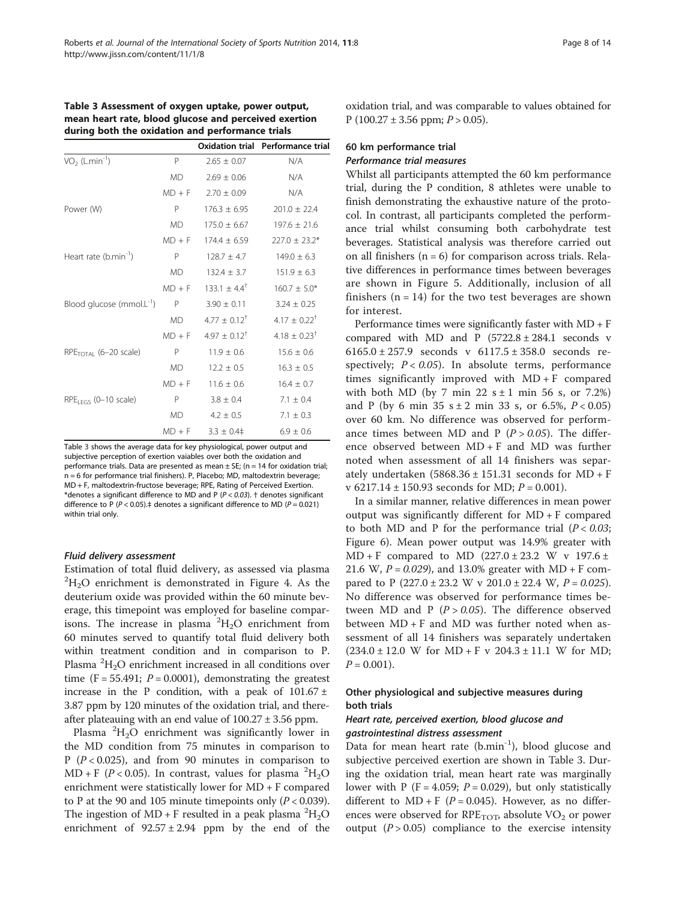#### <span id="page-7-0"></span>Table 3 Assessment of oxygen uptake, power output, mean heart rate, blood glucose and perceived exertion during both the oxidation and performance trials

|                                       |           |                              | <b>Oxidation trial Performance trial</b> |
|---------------------------------------|-----------|------------------------------|------------------------------------------|
| $VO2 (L.min-1)$                       | P         | $2.65 \pm 0.07$              | N/A                                      |
|                                       | <b>MD</b> | $2.69 \pm 0.06$              | N/A                                      |
|                                       | $MD + F$  | $2.70 \pm 0.09$              | N/A                                      |
| Power (W)                             | P         | $176.3 \pm 6.95$             | $201.0 \pm 22.4$                         |
|                                       | <b>MD</b> | $175.0 \pm 6.67$             | $197.6 \pm 21.6$                         |
|                                       | $MD + F$  | $174.4 \pm 6.59$             | $227.0 \pm 23.2*$                        |
| Heart rate $(b.min^{-1})$             | P         | $128.7 \pm 4.7$              | $149.0 \pm 6.3$                          |
|                                       | <b>MD</b> | $132.4 \pm 3.7$              | $151.9 \pm 6.3$                          |
|                                       | $MD + F$  | $133.1 \pm 4.4^{\dagger}$    | $160.7 \pm 5.0*$                         |
| Blood glucose (mmol.L <sup>-1</sup> ) | P         | $3.90 \pm 0.11$              | $3.24 \pm 0.25$                          |
|                                       | <b>MD</b> | $4.77 + 0.12^+$              | $4.17 \pm 0.22^{\dagger}$                |
|                                       | $MD + F$  | $4.97 \pm 0.12$ <sup>†</sup> | $4.18 \pm 0.23$ <sup>†</sup>             |
| $RPETOTAI$ (6-20 scale)               | P         | $11.9 \pm 0.6$               | $15.6 \pm 0.6$                           |
|                                       | <b>MD</b> | $12.2 \pm 0.5$               | $16.3 \pm 0.5$                           |
|                                       | $MD + F$  | $11.6 \pm 0.6$               | $16.4 \pm 0.7$                           |
| $RPELFGS$ (0-10 scale)                | P         | $3.8 \pm 0.4$                | $7.1 \pm 0.4$                            |
|                                       | <b>MD</b> | $4.2 + 0.5$                  | $7.1 \pm 0.3$                            |
|                                       | $MD + F$  | $3.3 \pm 0.4$                | $6.9 \pm 0.6$                            |

Table 3 shows the average data for key physiological, power output and subjective perception of exertion vaiables over both the oxidation and performance trials. Data are presented as mean  $\pm$  SE; (n = 14 for oxidation trial; n = 6 for performance trial finishers). P, Placebo; MD, maltodextrin beverage; MD + F, maltodextrin-fructose beverage; RPE, Rating of Perceived Exertion. \*denotes a significant difference to MD and P ( $P < 0.03$ ). † denotes significant difference to P ( $P < 0.05$ ).‡ denotes a significant difference to MD ( $P = 0.021$ ) within trial only.

#### Fluid delivery assessment

Estimation of total fluid delivery, as assessed via plasma  $^{2}H_{2}O$  enrichment is demonstrated in Figure [4](#page-8-0). As the deuterium oxide was provided within the 60 minute beverage, this timepoint was employed for baseline comparisons. The increase in plasma  ${}^{2}H_{2}O$  enrichment from 60 minutes served to quantify total fluid delivery both within treatment condition and in comparison to P. Plasma  ${}^{2}H_{2}O$  enrichment increased in all conditions over time  $(F = 55.491; P = 0.0001)$ , demonstrating the greatest increase in the P condition, with a peak of  $101.67 \pm$ 3.87 ppm by 120 minutes of the oxidation trial, and thereafter plateauing with an end value of  $100.27 \pm 3.56$  ppm.

Plasma <sup>2</sup>H<sub>2</sub>O enrichment was significantly lower in the MD condition from 75 minutes in comparison to P ( $P < 0.025$ ), and from 90 minutes in comparison to  $MD + F$  (P < 0.05). In contrast, values for plasma <sup>2</sup>H<sub>2</sub>O enrichment were statistically lower for MD + F compared to P at the 90 and 105 minute timepoints only  $(P < 0.039)$ . The ingestion of  $MD + F$  resulted in a peak plasma  ${}^{2}H_{2}O$ enrichment of  $92.57 \pm 2.94$  ppm by the end of the oxidation trial, and was comparable to values obtained for P (100.27  $\pm$  3.56 ppm;  $P > 0.05$ ).

# 60 km performance trial Performance trial measures

Whilst all participants attempted the 60 km performance trial, during the P condition, 8 athletes were unable to finish demonstrating the exhaustive nature of the protocol. In contrast, all participants completed the performance trial whilst consuming both carbohydrate test beverages. Statistical analysis was therefore carried out on all finishers  $(n = 6)$  for comparison across trials. Relative differences in performance times between beverages are shown in Figure [5](#page-8-0). Additionally, inclusion of all finishers  $(n = 14)$  for the two test beverages are shown for interest.

Performance times were significantly faster with MD + F compared with MD and P  $(5722.8 \pm 284.1$  seconds v 6165.0 ± 257.9 seconds v 6117.5 ± 358.0 seconds respectively;  $P < 0.05$ ). In absolute terms, performance times significantly improved with  $MD + F$  compared with both MD (by 7 min 22 s  $\pm$  1 min 56 s, or 7.2%) and P (by 6 min 35 s  $\pm$  2 min 33 s, or 6.5%,  $P < 0.05$ ) over 60 km. No difference was observed for performance times between MD and P  $(P > 0.05)$ . The difference observed between MD + F and MD was further noted when assessment of all 14 finishers was separately undertaken  $(5868.36 \pm 151.31$  seconds for MD + F v 6217.14 ± 150.93 seconds for MD;  $P = 0.001$ ).

In a similar manner, relative differences in mean power output was significantly different for MD + F compared to both MD and P for the performance trial  $(P < 0.03$ ; Figure [6](#page-9-0)). Mean power output was 14.9% greater with MD + F compared to MD (227.0 ± 23.2 W v 197.6 ± 21.6 W,  $P = 0.029$ , and 13.0% greater with MD + F compared to P  $(227.0 \pm 23.2 \text{ W} \text{ v } 201.0 \pm 22.4 \text{ W}$ ,  $P = 0.025$ ). No difference was observed for performance times between MD and P  $(P > 0.05)$ . The difference observed between  $MD + F$  and  $MD$  was further noted when assessment of all 14 finishers was separately undertaken  $(234.0 \pm 12.0 \text{ W} \text{ for } \text{MD} + \text{F} \text{ v } 204.3 \pm 11.1 \text{ W} \text{ for } \text{MD};$  $P = 0.001$ ).

# Other physiological and subjective measures during both trials

### Heart rate, perceived exertion, blood glucose and gastrointestinal distress assessment

Data for mean heart rate  $(b.min<sup>-1</sup>)$ , blood glucose and subjective perceived exertion are shown in Table 3. During the oxidation trial, mean heart rate was marginally lower with P (F = 4.059;  $P = 0.029$ ), but only statistically different to  $MD + F$  ( $P = 0.045$ ). However, as no differences were observed for  $RPE<sub>TOT</sub>$ , absolute  $VO<sub>2</sub>$  or power output  $(P > 0.05)$  compliance to the exercise intensity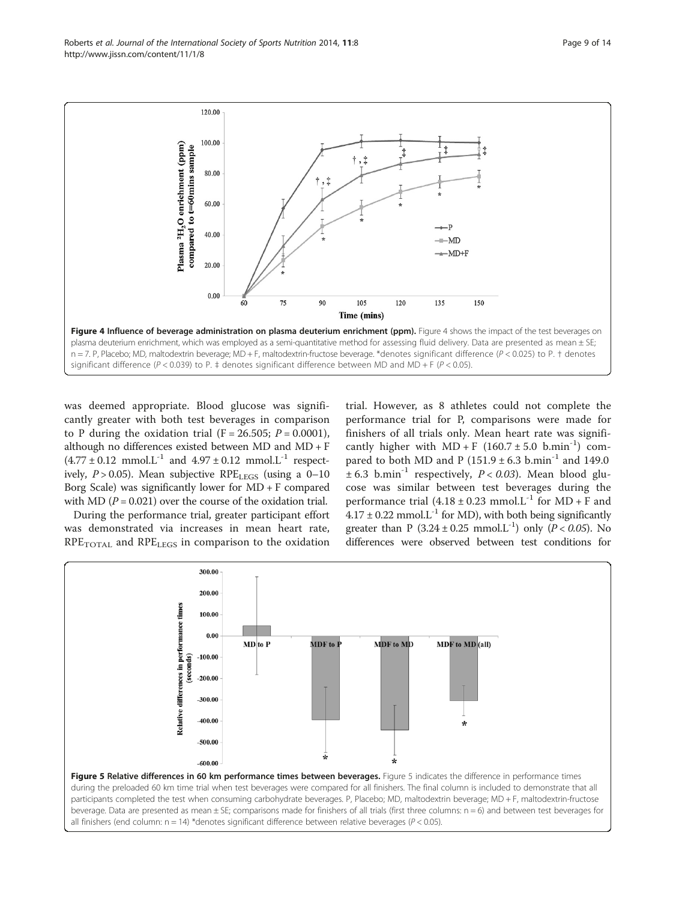<span id="page-8-0"></span>Roberts et al. Journal of the International Society of Sports Nutrition 2014, 11:8 http://www.jissn.com/content/11/1/8



was deemed appropriate. Blood glucose was significantly greater with both test beverages in comparison to P during the oxidation trial  $(F = 26.505; P = 0.0001)$ , although no differences existed between MD and MD + F  $(4.77 \pm 0.12 \text{ mmol} \cdot \text{L}^{-1} \text{ and } 4.97 \pm 0.12 \text{ mmol} \cdot \text{L}^{-1} \text{ respectively})$ ively,  $P > 0.05$ ). Mean subjective RPE<sub>LEGS</sub> (using a  $0-10$ Borg Scale) was significantly lower for MD + F compared with MD ( $P = 0.021$ ) over the course of the oxidation trial.

During the performance trial, greater participant effort was demonstrated via increases in mean heart rate,  $RPE<sub>TOTAL</sub>$  and  $RPE<sub>LEGS</sub>$  in comparison to the oxidation

trial. However, as 8 athletes could not complete the performance trial for P, comparisons were made for finishers of all trials only. Mean heart rate was significantly higher with  $MD + F$  (160.7 ± 5.0 b.min<sup>-1</sup>) compared to both MD and P (151.9  $\pm$  6.3 b.min<sup>-1</sup> and 149.0  $\pm$  6.3 b.min<sup>-1</sup> respectively,  $P < 0.03$ ). Mean blood glucose was similar between test beverages during the performance trial  $(4.18 \pm 0.23 \text{ mmol} \cdot \text{L}^{-1}$  for MD + F and  $4.17 \pm 0.22$  mmol.L<sup>-1</sup> for MD), with both being significantly greater than P  $(3.24 \pm 0.25 \text{ mmol} \cdot L^{-1})$  only  $(P < 0.05)$ . No differences were observed between test conditions for



all finishers (end column:  $n = 14$ ) \*denotes significant difference between relative beverages ( $P < 0.05$ ).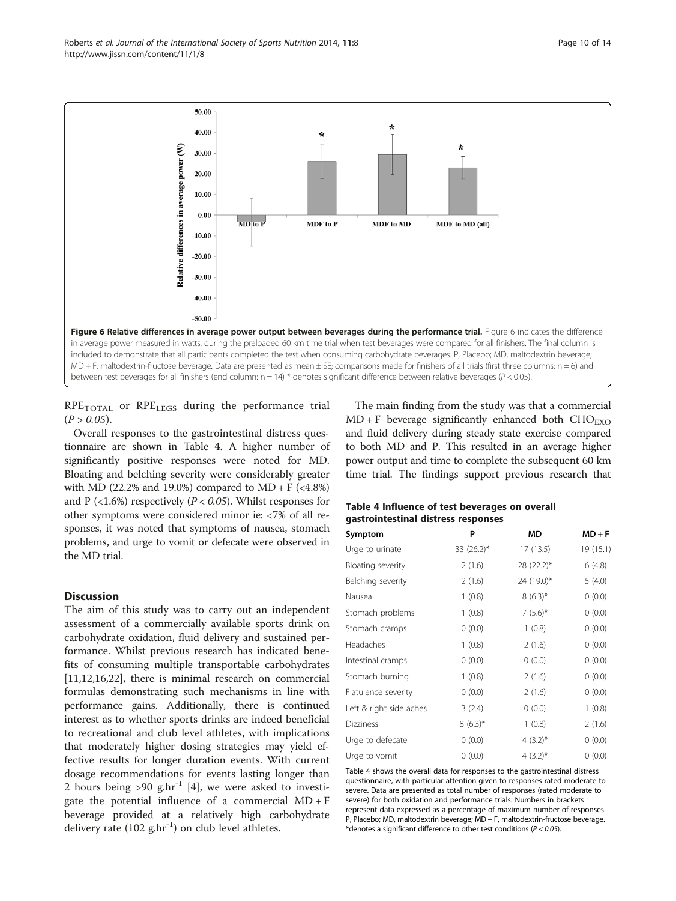<span id="page-9-0"></span>

 $RPE<sub>TOTAL</sub>$  or  $RPE<sub>LEGS</sub>$  during the performance trial  $(P > 0.05)$ .

Overall responses to the gastrointestinal distress questionnaire are shown in Table 4. A higher number of significantly positive responses were noted for MD. Bloating and belching severity were considerably greater with MD (22.2% and 19.0%) compared to  $MD + F$  (<4.8%) and P  $\langle$  <1.6%) respectively (*P* < 0.05). Whilst responses for other symptoms were considered minor ie: <7% of all responses, it was noted that symptoms of nausea, stomach problems, and urge to vomit or defecate were observed in the MD trial.

#### **Discussion**

The aim of this study was to carry out an independent assessment of a commercially available sports drink on carbohydrate oxidation, fluid delivery and sustained performance. Whilst previous research has indicated benefits of consuming multiple transportable carbohydrates [[11,12,16,22\]](#page-12-0), there is minimal research on commercial formulas demonstrating such mechanisms in line with performance gains. Additionally, there is continued interest as to whether sports drinks are indeed beneficial to recreational and club level athletes, with implications that moderately higher dosing strategies may yield effective results for longer duration events. With current dosage recommendations for events lasting longer than 2 hours being  $>90$  g.hr<sup>-1</sup> [\[4\]](#page-12-0), we were asked to investigate the potential influence of a commercial  $MD + F$ beverage provided at a relatively high carbohydrate delivery rate  $(102 \text{ g.hr}^{-1})$  on club level athletes.

The main finding from the study was that a commercial  $MD + F$  beverage significantly enhanced both  $CHO_{EXO}$ and fluid delivery during steady state exercise compared to both MD and P. This resulted in an average higher power output and time to complete the subsequent 60 km time trial. The findings support previous research that

# Table 4 Influence of test beverages on overall gastrointestinal distress responses

| Symptom                 | P            | MD           | $MD + F$  |
|-------------------------|--------------|--------------|-----------|
| Urge to urinate         | 33 (26.2)*   | 17 (13.5)    | 19 (15.1) |
| Bloating severity       | 2(1.6)       | 28 (22.2)*   | 6(4.8)    |
| Belching severity       | 2(1.6)       | 24 (19.0)*   | 5(4.0)    |
| Nausea                  | 1(0.8)       | $8(6.3)^{*}$ | 0(0.0)    |
| Stomach problems        | 1(0.8)       | $7(5.6)^*$   | 0(0.0)    |
| Stomach cramps          | 0(0.0)       | 1(0.8)       | 0(0.0)    |
| Headaches               | 1(0.8)       | 2(1.6)       | 0(0.0)    |
| Intestinal cramps       | 0(0.0)       | 0(0.0)       | 0(0.0)    |
| Stomach burning         | 1(0.8)       | 2(1.6)       | 0(0.0)    |
| Flatulence severity     | 0(0.0)       | 2(1.6)       | 0(0.0)    |
| Left & right side aches | 3(2.4)       | 0(0.0)       | 1(0.8)    |
| <b>Dizziness</b>        | $8(6.3)^{*}$ | 1(0.8)       | 2(1.6)    |
| Urge to defecate        | 0(0.0)       | $4(3.2)^{*}$ | 0(0.0)    |
| Urge to vomit           | 0(0.0)       | $4(3.2)^{*}$ | 0(0.0)    |

Table 4 shows the overall data for responses to the gastrointestinal distress questionnaire, with particular attention given to responses rated moderate to severe. Data are presented as total number of responses (rated moderate to severe) for both oxidation and performance trials. Numbers in brackets represent data expressed as a percentage of maximum number of responses. P, Placebo; MD, maltodextrin beverage; MD + F, maltodextrin-fructose beverage. \*denotes a significant difference to other test conditions ( $P < 0.05$ ).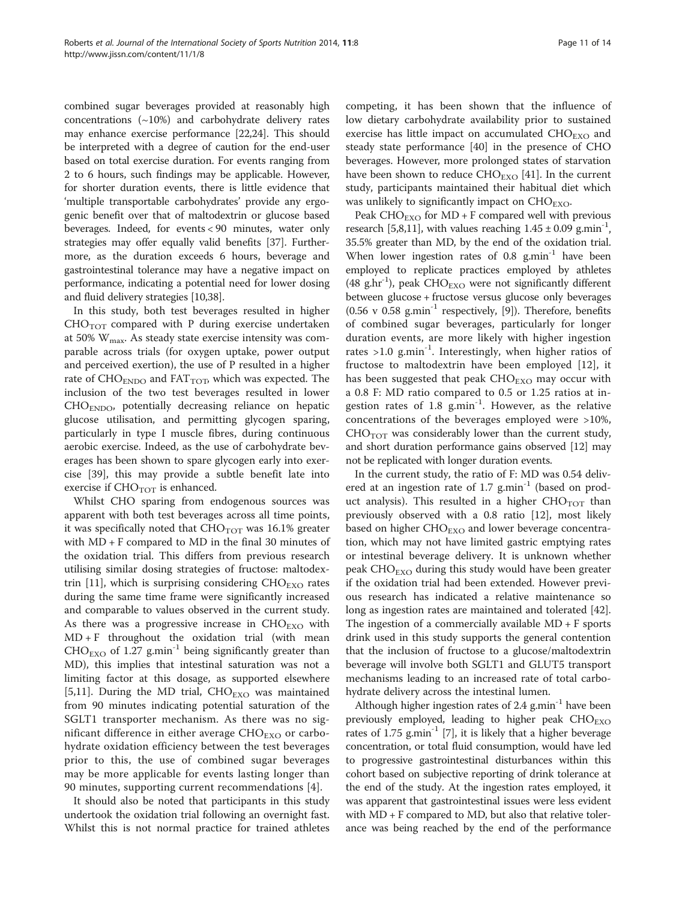combined sugar beverages provided at reasonably high concentrations (~10%) and carbohydrate delivery rates may enhance exercise performance [\[22,24\]](#page-12-0). This should be interpreted with a degree of caution for the end-user based on total exercise duration. For events ranging from 2 to 6 hours, such findings may be applicable. However, for shorter duration events, there is little evidence that 'multiple transportable carbohydrates' provide any ergogenic benefit over that of maltodextrin or glucose based beverages. Indeed, for events < 90 minutes, water only strategies may offer equally valid benefits [[37](#page-13-0)]. Furthermore, as the duration exceeds 6 hours, beverage and gastrointestinal tolerance may have a negative impact on performance, indicating a potential need for lower dosing and fluid delivery strategies [\[10,](#page-12-0)[38\]](#page-13-0).

In this study, both test beverages resulted in higher  $CHO<sub>TOT</sub>$  compared with P during exercise undertaken at 50% Wmax. As steady state exercise intensity was comparable across trials (for oxygen uptake, power output and perceived exertion), the use of P resulted in a higher rate of  $CHO_{ENDO}$  and  $FAT_{TOT}$ , which was expected. The inclusion of the two test beverages resulted in lower CHOENDO, potentially decreasing reliance on hepatic glucose utilisation, and permitting glycogen sparing, particularly in type I muscle fibres, during continuous aerobic exercise. Indeed, as the use of carbohydrate beverages has been shown to spare glycogen early into exercise [[39](#page-13-0)], this may provide a subtle benefit late into exercise if  $CHO<sub>TOT</sub>$  is enhanced.

Whilst CHO sparing from endogenous sources was apparent with both test beverages across all time points, it was specifically noted that  $CHO_{TOT}$  was 16.1% greater with MD + F compared to MD in the final 30 minutes of the oxidation trial. This differs from previous research utilising similar dosing strategies of fructose: maltodex-trin [\[11](#page-12-0)], which is surprising considering  $CHO_{EXO}$  rates during the same time frame were significantly increased and comparable to values observed in the current study. As there was a progressive increase in  $CHO_{EXO}$  with  $MD + F$  throughout the oxidation trial (with mean  $CHO_{EXO}$  of 1.27 g.min<sup>-1</sup> being significantly greater than MD), this implies that intestinal saturation was not a limiting factor at this dosage, as supported elsewhere [[5,11\]](#page-12-0). During the MD trial,  $CHO<sub>EXO</sub>$  was maintained from 90 minutes indicating potential saturation of the SGLT1 transporter mechanism. As there was no significant difference in either average  $CHO_{EXO}$  or carbohydrate oxidation efficiency between the test beverages prior to this, the use of combined sugar beverages may be more applicable for events lasting longer than 90 minutes, supporting current recommendations [[4\]](#page-12-0).

It should also be noted that participants in this study undertook the oxidation trial following an overnight fast. Whilst this is not normal practice for trained athletes

competing, it has been shown that the influence of low dietary carbohydrate availability prior to sustained exercise has little impact on accumulated  $CHO_{EXO}$  and steady state performance [\[40\]](#page-13-0) in the presence of CHO beverages. However, more prolonged states of starvation have been shown to reduce  $CHO<sub>EXO</sub>$  [[41\]](#page-13-0). In the current study, participants maintained their habitual diet which was unlikely to significantly impact on  $CHO_{EXO}$ .

Peak  $CHO_{EXO}$  for  $MD + F$  compared well with previous research [\[5,8,11\]](#page-12-0), with values reaching  $1.45 \pm 0.09$  g.min<sup>-1</sup>, 35.5% greater than MD, by the end of the oxidation trial. When lower ingestion rates of  $0.8$  g.min<sup>-1</sup> have been employed to replicate practices employed by athletes (48 g.hr<sup>-1</sup>), peak CHO<sub>EXO</sub> were not significantly different between glucose + fructose versus glucose only beverages  $(0.56 \text{ v } 0.58 \text{ g.min}^{-1}$  respectively, [\[9\]](#page-12-0)). Therefore, benefits of combined sugar beverages, particularly for longer duration events, are more likely with higher ingestion rates  $>1.0$  g.min<sup>-1</sup>. Interestingly, when higher ratios of fructose to maltodextrin have been employed [\[12](#page-12-0)], it has been suggested that peak  $CHO_{EXO}$  may occur with a 0.8 F: MD ratio compared to 0.5 or 1.25 ratios at ingestion rates of 1.8 g.min<sup>-1</sup>. However, as the relative concentrations of the beverages employed were >10%,  $CHO<sub>TOT</sub>$  was considerably lower than the current study, and short duration performance gains observed [[12](#page-12-0)] may not be replicated with longer duration events.

In the current study, the ratio of F: MD was 0.54 delivered at an ingestion rate of  $1.7 \text{ g.min}^{-1}$  (based on product analysis). This resulted in a higher  $CHO_{TOT}$  than previously observed with a 0.8 ratio [\[12\]](#page-12-0), most likely based on higher  $CHO_{EXO}$  and lower beverage concentration, which may not have limited gastric emptying rates or intestinal beverage delivery. It is unknown whether peak  $CHO_{EXO}$  during this study would have been greater if the oxidation trial had been extended. However previous research has indicated a relative maintenance so long as ingestion rates are maintained and tolerated [\[42](#page-13-0)]. The ingestion of a commercially available  $MD + F$  sports drink used in this study supports the general contention that the inclusion of fructose to a glucose/maltodextrin beverage will involve both SGLT1 and GLUT5 transport mechanisms leading to an increased rate of total carbohydrate delivery across the intestinal lumen.

Although higher ingestion rates of  $2.4$  g.min<sup>-1</sup> have been previously employed, leading to higher peak  $CHO_{EXO}$ rates of  $1.75$  g.min<sup>-1</sup> [[7\]](#page-12-0), it is likely that a higher beverage concentration, or total fluid consumption, would have led to progressive gastrointestinal disturbances within this cohort based on subjective reporting of drink tolerance at the end of the study. At the ingestion rates employed, it was apparent that gastrointestinal issues were less evident with MD + F compared to MD, but also that relative tolerance was being reached by the end of the performance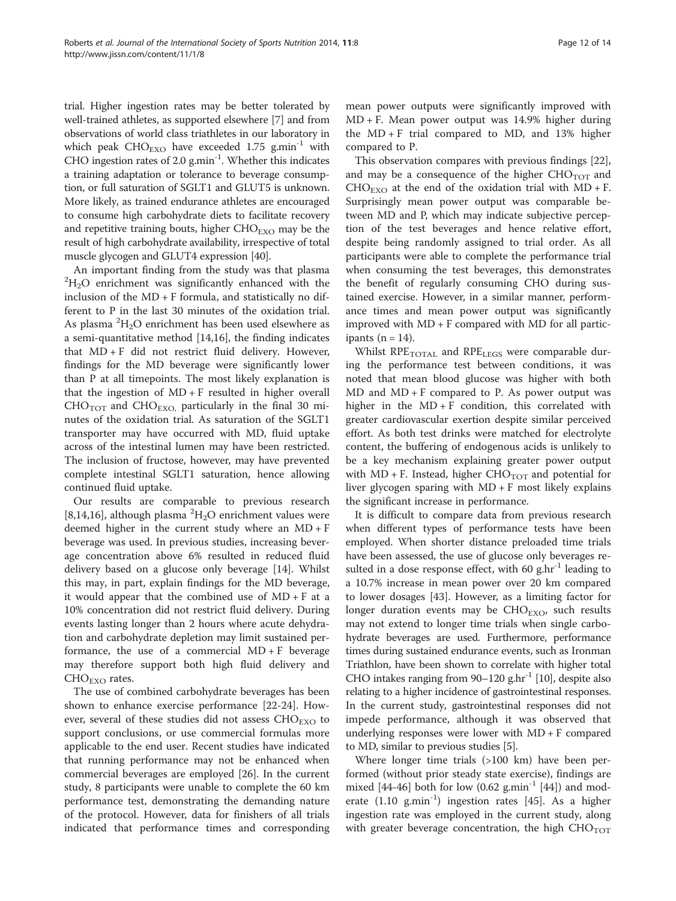trial. Higher ingestion rates may be better tolerated by well-trained athletes, as supported elsewhere [\[7](#page-12-0)] and from observations of world class triathletes in our laboratory in which peak  $CHO_{EXO}$  have exceeded 1.75 g.min<sup>-1</sup> with CHO ingestion rates of 2.0 g.min<sup>-1</sup>. Whether this indicates a training adaptation or tolerance to beverage consumption, or full saturation of SGLT1 and GLUT5 is unknown. More likely, as trained endurance athletes are encouraged to consume high carbohydrate diets to facilitate recovery and repetitive training bouts, higher CHO<sub>EXO</sub> may be the result of high carbohydrate availability, irrespective of total muscle glycogen and GLUT4 expression [\[40\]](#page-13-0).

An important finding from the study was that plasma  ${}^{2}H_{2}O$  enrichment was significantly enhanced with the inclusion of the  $MD + F$  formula, and statistically no different to P in the last 30 minutes of the oxidation trial. As plasma  $\mathrm{^{2}H_{2}O}$  enrichment has been used elsewhere as a semi-quantitative method [\[14,16](#page-12-0)], the finding indicates that  $MD + F$  did not restrict fluid delivery. However, findings for the MD beverage were significantly lower than P at all timepoints. The most likely explanation is that the ingestion of  $MD + F$  resulted in higher overall  $CHO_{TOT}$  and  $CHO_{EXO}$ , particularly in the final 30 minutes of the oxidation trial. As saturation of the SGLT1 transporter may have occurred with MD, fluid uptake across of the intestinal lumen may have been restricted. The inclusion of fructose, however, may have prevented complete intestinal SGLT1 saturation, hence allowing continued fluid uptake.

Our results are comparable to previous research [[8,14,16\]](#page-12-0), although plasma  ${}^{2}H_{2}O$  enrichment values were deemed higher in the current study where an MD + F beverage was used. In previous studies, increasing beverage concentration above 6% resulted in reduced fluid delivery based on a glucose only beverage [[14\]](#page-12-0). Whilst this may, in part, explain findings for the MD beverage, it would appear that the combined use of  $MD + F$  at a 10% concentration did not restrict fluid delivery. During events lasting longer than 2 hours where acute dehydration and carbohydrate depletion may limit sustained performance, the use of a commercial  $MD + F$  beverage may therefore support both high fluid delivery and  $CHO_{EXO}$  rates.

The use of combined carbohydrate beverages has been shown to enhance exercise performance [[22](#page-12-0)-[24\]](#page-12-0). However, several of these studies did not assess  $CHO_{EXO}$  to support conclusions, or use commercial formulas more applicable to the end user. Recent studies have indicated that running performance may not be enhanced when commercial beverages are employed [\[26\]](#page-13-0). In the current study, 8 participants were unable to complete the 60 km performance test, demonstrating the demanding nature of the protocol. However, data for finishers of all trials indicated that performance times and corresponding mean power outputs were significantly improved with MD + F. Mean power output was 14.9% higher during the  $MD + F$  trial compared to MD, and 13% higher compared to P.

This observation compares with previous findings [\[22](#page-12-0)], and may be a consequence of the higher  $CHO<sub>TOT</sub>$  and  $CHO_{EXO}$  at the end of the oxidation trial with  $MD + F$ . Surprisingly mean power output was comparable between MD and P, which may indicate subjective perception of the test beverages and hence relative effort, despite being randomly assigned to trial order. As all participants were able to complete the performance trial when consuming the test beverages, this demonstrates the benefit of regularly consuming CHO during sustained exercise. However, in a similar manner, performance times and mean power output was significantly improved with MD + F compared with MD for all participants ( $n = 14$ ).

Whilst RPE<sub>TOTAL</sub> and RPE<sub>LEGS</sub> were comparable during the performance test between conditions, it was noted that mean blood glucose was higher with both  $MD$  and  $MD + F$  compared to P. As power output was higher in the  $MD + F$  condition, this correlated with greater cardiovascular exertion despite similar perceived effort. As both test drinks were matched for electrolyte content, the buffering of endogenous acids is unlikely to be a key mechanism explaining greater power output with  $MD + F$ . Instead, higher  $CHO_{TOT}$  and potential for liver glycogen sparing with  $MD + F$  most likely explains the significant increase in performance.

It is difficult to compare data from previous research when different types of performance tests have been employed. When shorter distance preloaded time trials have been assessed, the use of glucose only beverages resulted in a dose response effect, with 60 g.hr<sup>-1</sup> leading to a 10.7% increase in mean power over 20 km compared to lower dosages [[43\]](#page-13-0). However, as a limiting factor for longer duration events may be  $CHO_{EXO}$ , such results may not extend to longer time trials when single carbohydrate beverages are used. Furthermore, performance times during sustained endurance events, such as Ironman Triathlon, have been shown to correlate with higher total CHO intakes ranging from  $90-120$  g.hr<sup>-1</sup> [[10](#page-12-0)], despite also relating to a higher incidence of gastrointestinal responses. In the current study, gastrointestinal responses did not impede performance, although it was observed that underlying responses were lower with MD + F compared to MD, similar to previous studies [\[5](#page-12-0)].

Where longer time trials (>100 km) have been performed (without prior steady state exercise), findings are mixed  $[44-46]$  $[44-46]$  both for low  $(0.62 \text{ g.min}^{-1} [44])$  $(0.62 \text{ g.min}^{-1} [44])$  $(0.62 \text{ g.min}^{-1} [44])$  and moderate  $(1.10 \text{ g.min}^{-1})$  ingestion rates [\[45](#page-13-0)]. As a higher ingestion rate was employed in the current study, along with greater beverage concentration, the high  $CHO_{TOT}$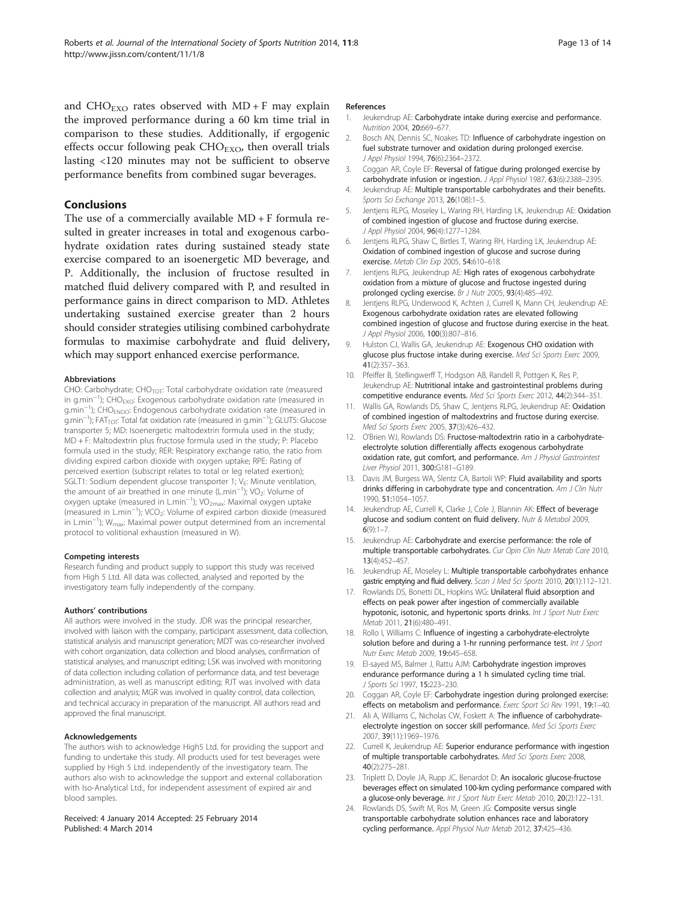<span id="page-12-0"></span>and  $CHO_{EXO}$  rates observed with  $MD + F$  may explain the improved performance during a 60 km time trial in comparison to these studies. Additionally, if ergogenic effects occur following peak  $CHO_{EXO}$ , then overall trials lasting <120 minutes may not be sufficient to observe performance benefits from combined sugar beverages.

# Conclusions

The use of a commercially available MD + F formula resulted in greater increases in total and exogenous carbohydrate oxidation rates during sustained steady state exercise compared to an isoenergetic MD beverage, and P. Additionally, the inclusion of fructose resulted in matched fluid delivery compared with P, and resulted in performance gains in direct comparison to MD. Athletes undertaking sustained exercise greater than 2 hours should consider strategies utilising combined carbohydrate formulas to maximise carbohydrate and fluid delivery, which may support enhanced exercise performance.

#### Abbreviations

CHO: Carbohydrate; CHO<sub>TOT</sub>: Total carbohydrate oxidation rate (measured in g.min−<sup>1</sup> ); CHOEXO: Exogenous carbohydrate oxidation rate (measured in g.min<sup>-1</sup>); CHO<sub>ENDO</sub>: Endogenous carbohydrate oxidation rate (measured in g.min<sup>-1</sup>); FAT<sub>TOT</sub>: Total fat oxidation rate (measured in g.min<sup>-1</sup>); GLUT5: Glucose transporter 5; MD: Isoenergetic maltodextrin formula used in the study; MD + F: Maltodextrin plus fructose formula used in the study; P: Placebo formula used in the study; RER: Respiratory exchange ratio, the ratio from dividing expired carbon dioxide with oxygen uptake; RPE: Rating of perceived exertion (subscript relates to total or leg related exertion); SGLT1: Sodium dependent glucose transporter 1; VE: Minute ventilation, the amount of air breathed in one minute (L.min<sup>-1</sup>); VO<sub>2</sub>: Volume of oxygen uptake (measured in L.min<sup>-1</sup>); VO<sub>2max</sub>: Maximal oxygen uptake (measured in L.min−<sup>1</sup> ); VCO2: Volume of expired carbon dioxide (measured in L.min−<sup>1</sup> ); Wmax: Maximal power output determined from an incremental protocol to volitional exhaustion (measured in W).

#### Competing interests

Research funding and product supply to support this study was received from High 5 Ltd. All data was collected, analysed and reported by the investigatory team fully independently of the company.

#### Authors' contributions

All authors were involved in the study. JDR was the principal researcher, involved with liaison with the company, participant assessment, data collection, statistical analysis and manuscript generation; MDT was co-researcher involved with cohort organization, data collection and blood analyses, confirmation of statistical analyses, and manuscript editing; LSK was involved with monitoring of data collection including collation of performance data, and test beverage administration, as well as manuscript editing; RJT was involved with data collection and analysis; MGR was involved in quality control, data collection, and technical accuracy in preparation of the manuscript. All authors read and approved the final manuscript.

#### Acknowledgements

The authors wish to acknowledge High5 Ltd. for providing the support and funding to undertake this study. All products used for test beverages were supplied by High 5 Ltd. independently of the investigatory team. The authors also wish to acknowledge the support and external collaboration with Iso-Analytical Ltd., for independent assessment of expired air and blood samples.

#### Received: 4 January 2014 Accepted: 25 February 2014 Published: 4 March 2014

#### References

- 1. Jeukendrup AE: Carbohydrate intake during exercise and performance. Nutrition 2004, 20:669–677.
- 2. Bosch AN, Dennis SC, Noakes TD: Influence of carbohydrate ingestion on fuel substrate turnover and oxidation during prolonged exercise. J Appl Physiol 1994, 76(6):2364–2372.
- 3. Coggan AR, Coyle EF: Reversal of fatigue during prolonged exercise by carbohydrate infusion or ingestion. J Appl Physiol 1987, 63(6):2388-2395.
- 4. Jeukendrup AE: Multiple transportable carbohydrates and their benefits. Sports Sci Exchange 2013, 26(108):1–5.
- 5. Jentjens RLPG, Moseley L, Waring RH, Harding LK, Jeukendrup AE: Oxidation of combined ingestion of glucose and fructose during exercise. J Appl Physiol 2004, 96(4):1277–1284.
- 6. Jentjens RLPG, Shaw C, Birtles T, Waring RH, Harding LK, Jeukendrup AE: Oxidation of combined ingestion of glucose and sucrose during exercise. Metab Clin Exp 2005, 54:610–618.
- 7. Jentjens RLPG, Jeukendrup AE: High rates of exogenous carbohydrate oxidation from a mixture of glucose and fructose ingested during prolonged cycling exercise. Br J Nutr 2005, 93(4):485–492.
- Jentjens RLPG, Underwood K, Achten J, Currell K, Mann CH, Jeukendrup AE: Exogenous carbohydrate oxidation rates are elevated following combined ingestion of glucose and fructose during exercise in the heat. J Appl Physiol 2006, 100(3):807–816.
- 9. Hulston CJ, Wallis GA, Jeukendrup AE: Exogenous CHO oxidation with glucose plus fructose intake during exercise. Med Sci Sports Exerc 2009, 41(2):357–363.
- 10. Pfeiffer B, Stellingwerff T, Hodgson AB, Randell R, Pottgen K, Res P, Jeukendrup AE: Nutritional intake and gastrointestinal problems during competitive endurance events. Med Sci Sports Exerc 2012, 44(2):344–351.
- 11. Wallis GA, Rowlands DS, Shaw C, Jentjens RLPG, Jeukendrup AE: Oxidation of combined ingestion of maltodextrins and fructose during exercise. Med Sci Sports Exerc 2005, 37(3):426–432.
- 12. O'Brien WJ, Rowlands DS: Fructose-maltodextrin ratio in a carbohydrateelectrolyte solution differentially affects exogenous carbohydrate oxidation rate, gut comfort, and performance. Am J Physiol Gastrointest Liver Physiol 2011, 300:G181–G189.
- 13. Davis JM, Burgess WA, Slentz CA, Bartoli WP: Fluid availability and sports drinks differing in carbohydrate type and concentration. Am J Clin Nutr 1990, 51:1054–1057.
- 14. Jeukendrup AE, Currell K, Clarke J, Cole J, Blannin AK: Effect of beverage glucose and sodium content on fluid delivery. Nutr & Metabol 2009,  $6(9) \cdot 1 - 7$
- 15. Jeukendrup AE: Carbohydrate and exercise performance: the role of multiple transportable carbohydrates. Cur Opin Clin Nutr Metab Care 2010, 13(4):452–457.
- 16. Jeukendrup AE, Moseley L: Multiple transportable carbohydrates enhance gastric emptying and fluid delivery. Scan J Med Sci Sports 2010, 20(1):112-121.
- 17. Rowlands DS, Bonetti DL, Hopkins WG: Unilateral fluid absorption and effects on peak power after ingestion of commercially available hypotonic, isotonic, and hypertonic sports drinks. Int J Sport Nutr Exerc Metab 2011, 21(6):480–491.
- 18. Rollo I, Williams C: Influence of ingesting a carbohydrate-electrolyte solution before and during a 1-hr running performance test. Int J Sport Nutr Exerc Metab 2009, 19:645–658.
- 19. El-sayed MS, Balmer J, Rattu AJM: Carbohydrate ingestion improves endurance performance during a 1 h simulated cycling time trial. J Sports Sci 1997, 15:223-230.
- 20. Coggan AR, Coyle EF: Carbohydrate ingestion during prolonged exercise: effects on metabolism and performance. Exerc Sport Sci Rev 1991, 19:1-40.
- 21. Ali A, Williams C, Nicholas CW, Foskett A: The influence of carbohydrateelectrolyte ingestion on soccer skill performance. Med Sci Sports Exerc 2007, 39(11):1969–1976.
- 22. Currell K, Jeukendrup AE: Superior endurance performance with ingestion of multiple transportable carbohydrates. Med Sci Sports Exerc 2008, 40(2):275–281.
- 23. Triplett D, Doyle JA, Rupp JC, Benardot D: An isocaloric glucose-fructose beverages effect on simulated 100-km cycling performance compared with a glucose-only beverage. Int J Sport Nutr Exerc Metab 2010, 20(2):122-131.
- 24. Rowlands DS, Swift M, Ros M, Green JG: Composite versus single transportable carbohydrate solution enhances race and laboratory cycling performance. Appl Physiol Nutr Metab 2012, 37:425-436.